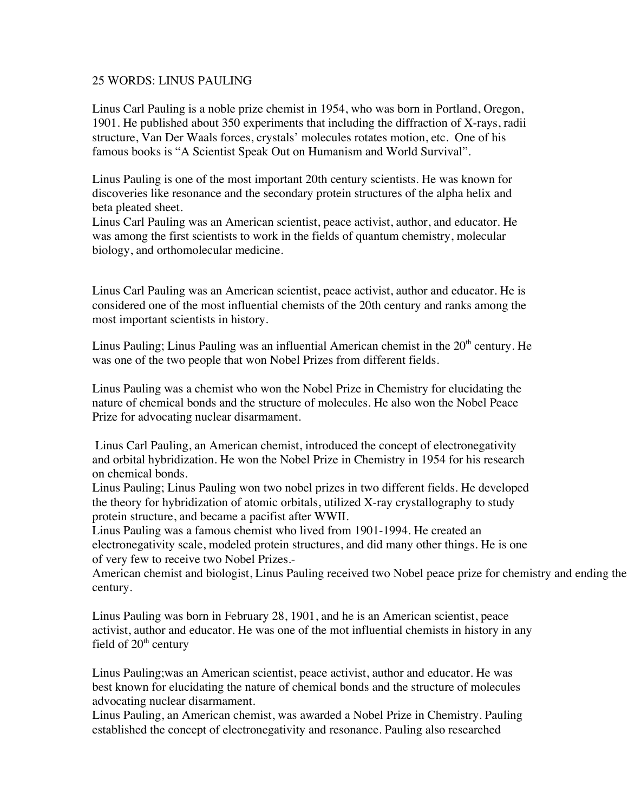## 25 WORDS: LINUS PAULING

Linus Carl Pauling is a noble prize chemist in 1954, who was born in Portland, Oregon, 1901. He published about 350 experiments that including the diffraction of X-rays, radii structure, Van Der Waals forces, crystals' molecules rotates motion, etc. One of his famous books is "A Scientist Speak Out on Humanism and World Survival".

Linus Pauling is one of the most important 20th century scientists. He was known for discoveries like resonance and the secondary protein structures of the alpha helix and beta pleated sheet.

Linus Carl Pauling was an American scientist, peace activist, author, and educator. He was among the first scientists to work in the fields of quantum chemistry, molecular biology, and orthomolecular medicine.

Linus Carl Pauling was an American scientist, peace activist, author and educator. He is considered one of the most influential chemists of the 20th century and ranks among the most important scientists in history.

Linus Pauling; Linus Pauling was an influential American chemist in the 20<sup>th</sup> century. He was one of the two people that won Nobel Prizes from different fields.

Linus Pauling was a chemist who won the Nobel Prize in Chemistry for elucidating the nature of chemical bonds and the structure of molecules. He also won the Nobel Peace Prize for advocating nuclear disarmament.

 Linus Carl Pauling, an American chemist, introduced the concept of electronegativity and orbital hybridization. He won the Nobel Prize in Chemistry in 1954 for his research on chemical bonds.

Linus Pauling; Linus Pauling won two nobel prizes in two different fields. He developed the theory for hybridization of atomic orbitals, utilized X-ray crystallography to study protein structure, and became a pacifist after WWII.

Linus Pauling was a famous chemist who lived from 1901-1994. He created an electronegativity scale, modeled protein structures, and did many other things. He is one of very few to receive two Nobel Prizes.-

American chemist and biologist, Linus Pauling received two Nobel peace prize for chemistry and ending the century.

Linus Pauling was born in February 28, 1901, and he is an American scientist, peace activist, author and educator. He was one of the mot influential chemists in history in any field of  $20<sup>th</sup>$  century

Linus Pauling;was an American scientist, peace activist, author and educator. He was best known for elucidating the nature of chemical bonds and the structure of molecules advocating nuclear disarmament.

Linus Pauling, an American chemist, was awarded a Nobel Prize in Chemistry. Pauling established the concept of electronegativity and resonance. Pauling also researched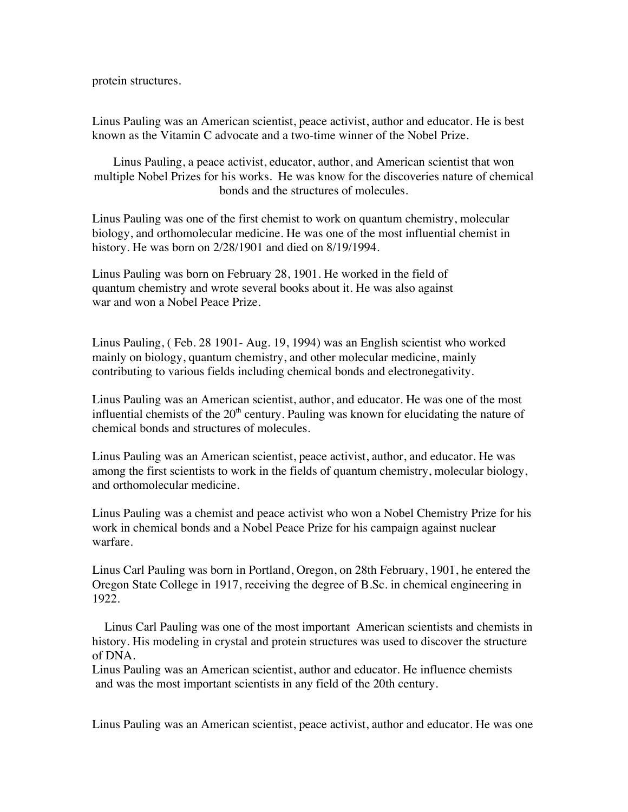protein structures.

Linus Pauling was an American scientist, peace activist, author and educator. He is best known as the Vitamin C advocate and a two-time winner of the Nobel Prize.

Linus Pauling, a peace activist, educator, author, and American scientist that won multiple Nobel Prizes for his works. He was know for the discoveries nature of chemical bonds and the structures of molecules.

Linus Pauling was one of the first chemist to work on quantum chemistry, molecular biology, and orthomolecular medicine. He was one of the most influential chemist in history. He was born on 2/28/1901 and died on 8/19/1994.

Linus Pauling was born on February 28, 1901. He worked in the field of quantum chemistry and wrote several books about it. He was also against war and won a Nobel Peace Prize.

Linus Pauling, ( Feb. 28 1901- Aug. 19, 1994) was an English scientist who worked mainly on biology, quantum chemistry, and other molecular medicine, mainly contributing to various fields including chemical bonds and electronegativity.

Linus Pauling was an American scientist, author, and educator. He was one of the most influential chemists of the  $20<sup>th</sup>$  century. Pauling was known for elucidating the nature of chemical bonds and structures of molecules.

Linus Pauling was an American scientist, peace activist, author, and educator. He was among the first scientists to work in the fields of quantum chemistry, molecular biology, and orthomolecular medicine.

Linus Pauling was a chemist and peace activist who won a Nobel Chemistry Prize for his work in chemical bonds and a Nobel Peace Prize for his campaign against nuclear warfare.

Linus Carl Pauling was born in Portland, Oregon, on 28th February, 1901, he entered the Oregon State College in 1917, receiving the degree of B.Sc. in chemical engineering in 1922.

 Linus Carl Pauling was one of the most important American scientists and chemists in history. His modeling in crystal and protein structures was used to discover the structure of DNA.

Linus Pauling was an American scientist, author and educator. He influence chemists and was the most important scientists in any field of the 20th century.

Linus Pauling was an American scientist, peace activist, author and educator. He was one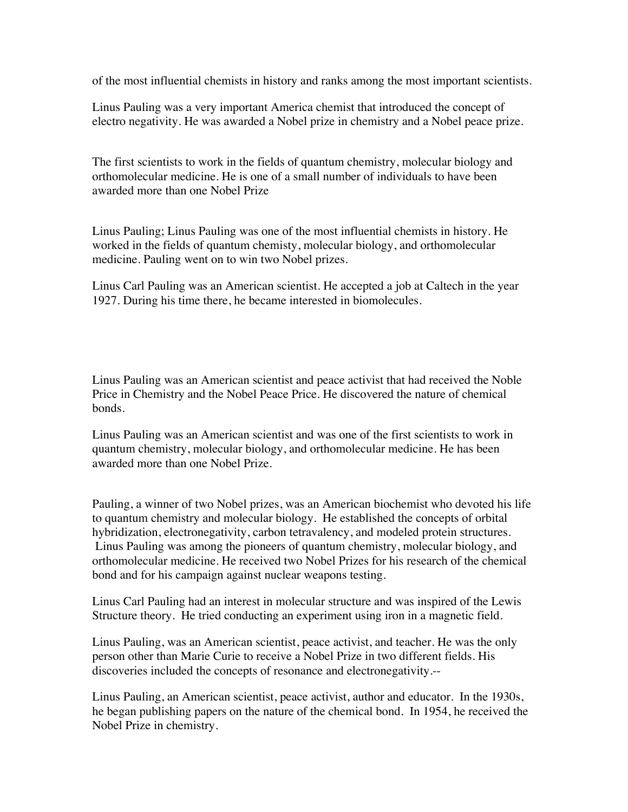of the most influential chemists in history and ranks among the most important scientists.

Linus Pauling was a very important America chemist that introduced the concept of electro negativity. He was awarded a Nobel prize in chemistry and a Nobel peace prize.

The first scientists to work in the fields of quantum chemistry, molecular biology and orthomolecular medicine. He is one of a small number of individuals to have been awarded more than one Nobel Prize

Linus Pauling; Linus Pauling was one of the most influential chemists in history. He worked in the fields of quantum chemisty, molecular biology, and orthomolecular medicine. Pauling went on to win two Nobel prizes.

Linus Carl Pauling was an American scientist. He accepted a job at Caltech in the year 1927. During his time there, he became interested in biomolecules.

Linus Pauling was an American scientist and peace activist that had received the Noble Price in Chemistry and the Nobel Peace Price. He discovered the nature of chemical bonds.

Linus Pauling was an American scientist and was one of the first scientists to work in quantum chemistry, molecular biology, and orthomolecular medicine. He has been awarded more than one Nobel Prize.

Pauling, a winner of two Nobel prizes, was an American biochemist who devoted his life to quantum chemistry and molecular biology. He established the concepts of orbital hybridization, electronegativity, carbon tetravalency, and modeled protein structures. Linus Pauling was among the pioneers of quantum chemistry, molecular biology, and orthomolecular medicine. He received two Nobel Prizes for his research of the chemical bond and for his campaign against nuclear weapons testing.

Linus Carl Pauling had an interest in molecular structure and was inspired of the Lewis Structure theory. He tried conducting an experiment using iron in a magnetic field.

Linus Pauling, was an American scientist, peace activist, and teacher. He was the only person other than Marie Curie to receive a Nobel Prize in two different fields. His discoveries included the concepts of resonance and electronegativity.--

Linus Pauling, an American scientist, peace activist, author and educator. In the 1930s, he began publishing papers on the nature of the chemical bond. In 1954, he received the Nobel Prize in chemistry.